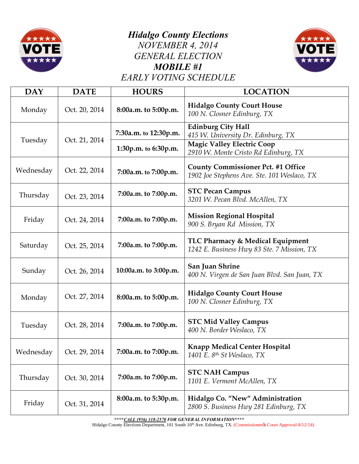

## *Hidalgo County Elections NOVEMBER 4, 2014 GENERAL ELECTION MOBILE #1*



*EARLY VOTING SCHEDULE*

| <b>DAY</b> | <b>DATE</b>   | <b>HOURS</b>          | <b>LOCATION</b>                                                                          |
|------------|---------------|-----------------------|------------------------------------------------------------------------------------------|
| Monday     | Oct. 20, 2014 | 8:00a.m. to 5:00p.m.  | <b>Hidalgo County Court House</b><br>100 N. Closner Edinburg, TX                         |
| Tuesday    | Oct. 21, 2014 | 7:30a.m. to 12:30p.m. | <b>Edinburg City Hall</b><br>415 W. University Dr. Edinburg, TX                          |
|            |               | 1:30p.m. to 6:30p.m.  | <b>Magic Valley Electric Coop</b><br>2910 W. Monte Cristo Rd Edinburg, TX                |
| Wednesday  | Oct. 22, 2014 | 7:00a.m. to 7:00p.m.  | <b>County Commissioner Pct. #1 Office</b><br>1902 Joe Stephens Ave. Ste. 101 Weslaco, TX |
| Thursday   | Oct. 23, 2014 | 7:00a.m. to 7:00p.m.  | <b>STC Pecan Campus</b><br>3201 W. Pecan Blvd. McAllen, TX                               |
| Friday     | Oct. 24, 2014 | 7:00a.m. to 7:00p.m.  | <b>Mission Regional Hospital</b><br>900 S. Bryan Rd Mission, TX                          |
| Saturday   | Oct. 25, 2014 | 7:00a.m. to 7:00p.m.  | TLC Pharmacy & Medical Equipment<br>1242 E. Business Hwy 83 Ste. 7 Mission, TX           |
| Sunday     | Oct. 26, 2014 | 10:00a.m. to 3:00p.m. | San Juan Shrine<br>400 N. Virgen de San Juan Blvd. San Juan, TX                          |
| Monday     | Oct. 27, 2014 | 8:00a.m. to 5:00p.m.  | <b>Hidalgo County Court House</b><br>100 N. Closner Edinburg, TX                         |
| Tuesday    | Oct. 28, 2014 | 7:00a.m. to 7:00p.m.  | <b>STC Mid Valley Campus</b><br>400 N. Border Weslaco, TX                                |
| Wednesday  | Oct. 29, 2014 | 7:00a.m. to 7:00p.m.  | <b>Knapp Medical Center Hospital</b><br>1401 E. 8th St Weslaco, TX                       |
| Thursday   | Oct. 30, 2014 | 7:00a.m. to 7:00p.m.  | <b>STC NAH Campus</b><br>1101 E. Vermont McAllen, TX                                     |
| Friday     | Oct. 31, 2014 | 8:00a.m. to 5:30p.m.  | Hidalgo Co. "New" Administration<br>2800 S. Business Hwy 281 Edinburg, TX                |

**\*\*\*\****CALL (956) 318-2570 FOR GENERAL INFORMATION***\*\*\*\***

Hidalgo County Elections Department, 101 South 10<sup>th</sup> Ave. Edinburg, TX. (Commissionerys Court Approval-8/12/14)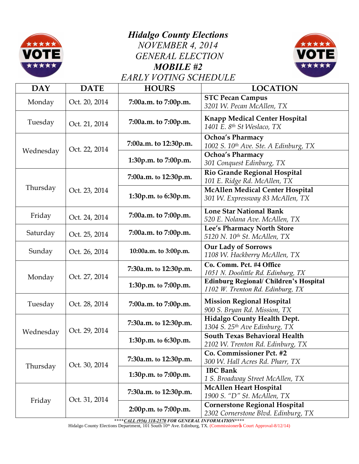

## *Hidalgo County Elections NOVEMBER 4, 2014 GENERAL ELECTION MOBILE #2 EARLY VOTING SCHEDULE*



| <b>DAY</b> | <b>DATE</b>   | <b>HOURS</b>          | <b>LOCATION</b>                                                                   |
|------------|---------------|-----------------------|-----------------------------------------------------------------------------------|
| Monday     | Oct. 20, 2014 | 7:00a.m. to 7:00p.m.  | <b>STC Pecan Campus</b><br>3201 W. Pecan McAllen, TX                              |
| Tuesday    | Oct. 21, 2014 | 7:00a.m. to 7:00p.m.  | <b>Knapp Medical Center Hospital</b><br>1401 E. 8th St Weslaco, TX                |
| Wednesday  | Oct. 22, 2014 | 7:00a.m. to 12:30p.m. | Ochoa's Pharmacy<br>1002 S. 10th Ave. Ste. A Edinburg, TX                         |
|            |               | 1:30p.m. to 7:00p.m.  | <b>Ochoa's Pharmacy</b><br>301 Conquest Edinburg, TX                              |
| Thursday   | Oct. 23, 2014 | 7:00a.m. to 12:30p.m. | Rio Grande Regional Hospital<br>101 E. Ridge Rd. McAllen, TX                      |
|            |               | 1:30p.m. to 6:30p.m.  | <b>McAllen Medical Center Hospital</b><br>301 W. Expressway 83 McAllen, TX        |
| Friday     | Oct. 24, 2014 | 7:00a.m. to 7:00p.m.  | <b>Lone Star National Bank</b><br>520 E. Nolana Ave. McAllen, TX                  |
| Saturday   | Oct. 25, 2014 | 7:00a.m. to 7:00p.m.  | Lee's Pharmacy North Store<br>5120 N. 10th St. McAllen, TX                        |
| Sunday     | Oct. 26, 2014 | 10:00a.m. to 3:00p.m. | <b>Our Lady of Sorrows</b><br>1108 W. Hackberry McAllen, TX                       |
|            | Oct. 27, 2014 | 7:30a.m. to 12:30p.m. | Co. Comm. Pct. #4 Office<br>1051 N. Doolittle Rd. Edinburg, TX                    |
| Monday     |               | 1:30p.m. to 7:00p.m.  | <b>Edinburg Regional/ Children's Hospital</b><br>1102 W. Trenton Rd. Edinburg, TX |
| Tuesday    | Oct. 28, 2014 | 7:00a.m. to 7:00p.m.  | <b>Mission Regional Hospital</b><br>900 S. Bryan Rd. Mission, TX                  |
| Wednesday  | Oct. 29, 2014 | 7:30a.m. to 12:30p.m. | Hidalgo County Health Dept.<br>1304 S. 25th Ave Edinburg, TX                      |
|            |               | 1:30p.m. to 6:30p.m.  | South Texas Behavioral Health<br>2102 W. Trenton Rd. Edinburg, TX                 |
| Thursday   | Oct. 30, 2014 | 7:30a.m. to 12:30p.m. | Co. Commissioner Pct. #2<br>300 W. Hall Acres Rd. Pharr, TX                       |
|            |               | 1:30p.m. to 7:00p.m.  | <b>IBC Bank</b><br>1 S. Broadway Street McAllen, TX                               |
| Friday     | Oct. 31, 2014 | 7:30a.m. to 12:30p.m. | <b>McAllen Heart Hospital</b><br>1900 S. "D" St. McAllen, TX                      |
|            |               | 2:00p.m. to 7:00p.m.  | <b>Cornerstone Regional Hospital</b><br>2302 Cornerstone Blvd. Edinburg, TX       |

**\*\*\*\****CALL (956) 318-2570 FOR GENERAL INFORMATION***\*\*\*\***

Hidalgo County Elections Department, 101 South 10<sup>th</sup> Ave. Edinburg, TX. (Commissioner & Court Approval-8/12/14)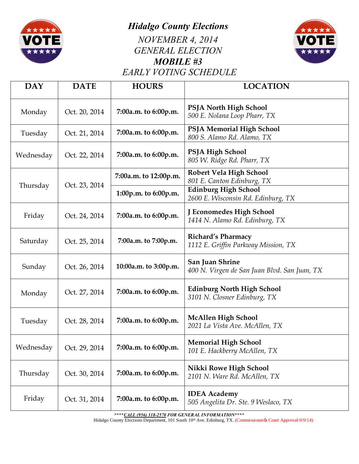

*Hidalgo County Elections*

*NOVEMBER 4, 2014 GENERAL ELECTION MOBILE #3 EARLY VOTING SCHEDULE*



| <b>DAY</b> | <b>DATE</b>   | <b>HOURS</b>          | <b>LOCATION</b>                                                   |
|------------|---------------|-----------------------|-------------------------------------------------------------------|
| Monday     | Oct. 20, 2014 | 7:00a.m. to 6:00p.m.  | <b>PSJA North High School</b><br>500 E. Nolana Loop Pharr, TX     |
| Tuesday    | Oct. 21, 2014 | 7:00a.m. to 6:00p.m.  | PSJA Memorial High School<br>800 S. Alamo Rd. Alamo, TX           |
| Wednesday  | Oct. 22, 2014 | 7:00a.m. to 6:00p.m.  | <b>PSJA High School</b><br>805 W. Ridge Rd. Pharr, TX             |
| Thursday   | Oct. 23, 2014 | 7:00a.m. to 12:00p.m. | <b>Robert Vela High School</b><br>801 E. Canton Edinburg, TX      |
|            |               | 1:00p.m. to 6:00p.m.  | <b>Edinburg High School</b><br>2600 E. Wisconsin Rd. Edinburg, TX |
| Friday     | Oct. 24, 2014 | 7:00a.m. to 6:00p.m.  | J Economedes High School<br>1414 N. Alamo Rd. Edinburg, TX        |
| Saturday   | Oct. 25, 2014 | 7:00a.m. to 7:00p.m.  | <b>Richard's Pharmacy</b><br>1112 E. Griffin Parkway Mission, TX  |
| Sunday     | Oct. 26, 2014 | 10:00a.m. to 3:00p.m. | San Juan Shrine<br>400 N. Virgen de San Juan Blvd. San Juan, TX   |
| Monday     | Oct. 27, 2014 | 7:00a.m. to 6:00p.m.  | <b>Edinburg North High School</b><br>3101 N. Closner Edinburg, TX |
| Tuesday    | Oct. 28, 2014 | 7:00a.m. to 6:00p.m.  | <b>McAllen High School</b><br>2021 La Vista Ave. McAllen, TX      |
| Wednesday  | Oct. 29, 2014 | 7:00a.m. to 6:00p.m.  | <b>Memorial High School</b><br>101 E. Hackberry McAllen, TX       |
| Thursday   | Oct. 30, 2014 | 7:00a.m. to 6:00p.m.  | Nikki Rowe High School<br>2101 N. Ware Rd. McAllen, TX            |
| Friday     | Oct. 31, 2014 | 7:00a.m. to 6:00p.m.  | <b>IDEA</b> Academy<br>505 Angelita Dr. Ste. 9 Weslaco, TX        |

**\*\*\*\****CALL (956) 318-2570 FOR GENERAL INFORMATION***\*\*\*\***

Hidalgo County Elections Department, 101 South 10<sup>th</sup> Ave. Edinburg, TX. (Commissionerys Court Approval-9/9/14)